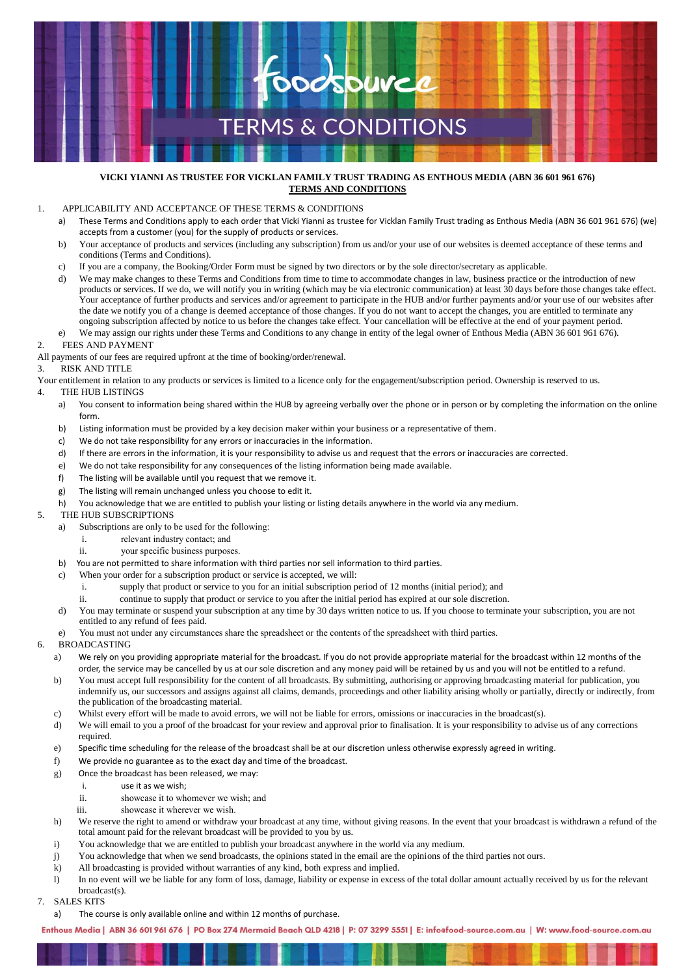

#### **VICKI YIANNI AS TRUSTEE FOR VICKLAN FAMILY TRUST TRADING AS ENTHOUS MEDIA (ABN 36 601 961 676) TERMS AND CONDITIONS**

### 1. APPLICABILITY AND ACCEPTANCE OF THESE TERMS & CONDITIONS

- a) These Terms and Conditions apply to each order that Vicki Yianni as trustee for Vicklan Family Trust trading as Enthous Media (ABN 36 601 961 676) (we) accepts from a customer (you) for the supply of products or services.
- b) Your acceptance of products and services (including any subscription) from us and/or your use of our websites is deemed acceptance of these terms and conditions (Terms and Conditions).
- c) If you are a company, the Booking/Order Form must be signed by two directors or by the sole director/secretary as applicable.
- d) We may make changes to these Terms and Conditions from time to time to accommodate changes in law, business practice or the introduction of new products or services. If we do, we will notify you in writing (which may be via electronic communication) at least 30 days before those changes take effect. Your acceptance of further products and services and/or agreement to participate in the HUB and/or further payments and/or your use of our websites after the date we notify you of a change is deemed acceptance of those changes. If you do not want to accept the changes, you are entitled to terminate any ongoing subscription affected by notice to us before the changes take effect. Your cancellation will be effective at the end of your payment period.
- e) We may assign our rights under these Terms and Conditions to any change in entity of the legal owner of Enthous Media (ABN 36 601 961 676).
- 2. FEES AND PAYMENT

All payments of our fees are required upfront at the time of booking/order/renewal.

#### 3. RISK AND TITLE

Your entitlement in relation to any products or services is limited to a licence only for the engagement/subscription period. Ownership is reserved to us.

- 4. THE HUB LISTINGS
	- a) You consent to information being shared within the HUB by agreeing verbally over the phone or in person or by completing the information on the online form.
	- b) Listing information must be provided by a key decision maker within your business or a representative of them.
	- c) We do not take responsibility for any errors or inaccuracies in the information.
	- d) If there are errors in the information, it is your responsibility to advise us and request that the errors or inaccuracies are corrected.
	- e) We do not take responsibility for any consequences of the listing information being made available.
	- f) The listing will be available until you request that we remove it.
	- g) The listing will remain unchanged unless you choose to edit it.
	- h) You acknowledge that we are entitled to publish your listing or listing details anywhere in the world via any medium.
- 5. THE HUB SUBSCRIPTIONS
	- a) Subscriptions are only to be used for the following:
		- i. relevant industry contact; and
		- ii. your specific business purposes.
	- b) You are not permitted to share information with third parties nor sell information to third parties.
	- c) When your order for a subscription product or service is accepted, we will:
		- i. supply that product or service to you for an initial subscription period of 12 months (initial period); and
		- ii. continue to supply that product or service to you after the initial period has expired at our sole discretion.
	- d) You may terminate or suspend your subscription at any time by 30 days written notice to us. If you choose to terminate your subscription, you are not entitled to any refund of fees paid.
	- e) You must not under any circumstances share the spreadsheet or the contents of the spreadsheet with third parties.

#### 6. BROADCASTING

- a) We rely on you providing appropriate material for the broadcast. If you do not provide appropriate material for the broadcast within 12 months of the order, the service may be cancelled by us at our sole discretion and any money paid will be retained by us and you will not be entitled to a refund.
- b) You must accept full responsibility for the content of all broadcasts. By submitting, authorising or approving broadcasting material for publication, you indemnify us, our successors and assigns against all claims, demands, proceedings and other liability arising wholly or partially, directly or indirectly, from the publication of the broadcasting material.
- c) Whilst every effort will be made to avoid errors, we will not be liable for errors, omissions or inaccuracies in the broadcast(s).
- d) We will email to you a proof of the broadcast for your review and approval prior to finalisation. It is your responsibility to advise us of any corrections required.
- e) Specific time scheduling for the release of the broadcast shall be at our discretion unless otherwise expressly agreed in writing.
- f) We provide no guarantee as to the exact day and time of the broadcast.
- g) Once the broadcast has been released, we may:
	- i. use it as we wish;
	- ii. showcase it to whomever we wish; and
	- iii. showcase it wherever we wish.
- h) We reserve the right to amend or withdraw your broadcast at any time, without giving reasons. In the event that your broadcast is withdrawn a refund of the total amount paid for the relevant broadcast will be provided to you by us.
- i) You acknowledge that we are entitled to publish your broadcast anywhere in the world via any medium.
- j) You acknowledge that when we send broadcasts, the opinions stated in the email are the opinions of the third parties not ours.
- k) All broadcasting is provided without warranties of any kind, both express and implied.
- l) In no event will we be liable for any form of loss, damage, liability or expense in excess of the total dollar amount actually received by us for the relevant broadcast(s).
- 7. SALES KITS
	- a) The course is only available online and within 12 months of purchase.

Enthous Media | ABN 36 601 961 676 | PO Box 274 Mermaid Beach QLD 4218 | P: 07 3299 5551 | E: infoefood-source.com.au | W: www.food-source.com.au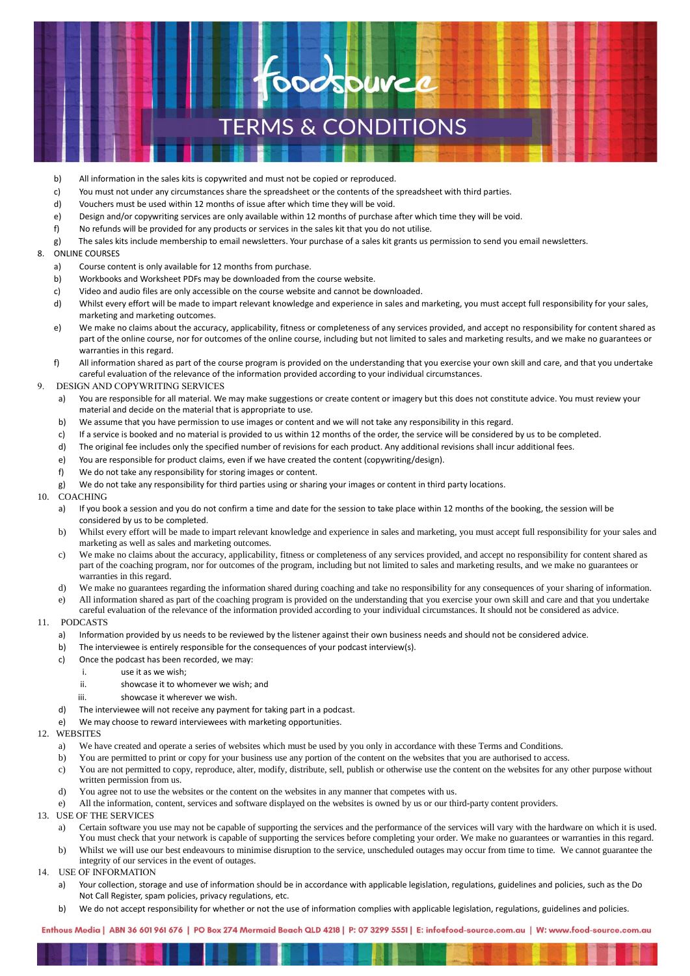# **TERMS & CONDITIONS**

**ooospuree** 

- b) All information in the sales kits is copywrited and must not be copied or reproduced.
- c) You must not under any circumstances share the spreadsheet or the contents of the spreadsheet with third parties.
- d) Vouchers must be used within 12 months of issue after which time they will be void.
- e) Design and/or copywriting services are only available within 12 months of purchase after which time they will be void.
- f) No refunds will be provided for any products or services in the sales kit that you do not utilise.
- g) The sales kits include membership to email newsletters. Your purchase of a sales kit grants us permission to send you email newsletters.
- 8. ONLINE COURSES
	- a) Course content is only available for 12 months from purchase.
	- b) Workbooks and Worksheet PDFs may be downloaded from the course website.
	- c) Video and audio files are only accessible on the course website and cannot be downloaded.
	- d) Whilst every effort will be made to impart relevant knowledge and experience in sales and marketing, you must accept full responsibility for your sales, marketing and marketing outcomes.
	- e) We make no claims about the accuracy, applicability, fitness or completeness of any services provided, and accept no responsibility for content shared as part of the online course, nor for outcomes of the online course, including but not limited to sales and marketing results, and we make no guarantees or warranties in this regard.
	- f) All information shared as part of the course program is provided on the understanding that you exercise your own skill and care, and that you undertake careful evaluation of the relevance of the information provided according to your individual circumstances.
- 9. DESIGN AND COPYWRITING SERVICES
	- a) You are responsible for all material. We may make suggestions or create content or imagery but this does not constitute advice. You must review your material and decide on the material that is appropriate to use.
	- b) We assume that you have permission to use images or content and we will not take any responsibility in this regard.
	- c) If a service is booked and no material is provided to us within 12 months of the order, the service will be considered by us to be completed.
	- d) The original fee includes only the specified number of revisions for each product. Any additional revisions shall incur additional fees.
	- e) You are responsible for product claims, even if we have created the content (copywriting/design).
	- f) We do not take any responsibility for storing images or content.
	- g) We do not take any responsibility for third parties using or sharing your images or content in third party locations.
- 10. COACHING
	- a) If you book a session and you do not confirm a time and date for the session to take place within 12 months of the booking, the session will be considered by us to be completed.
	- b) Whilst every effort will be made to impart relevant knowledge and experience in sales and marketing, you must accept full responsibility for your sales and marketing as well as sales and marketing outcomes.
	- c) We make no claims about the accuracy, applicability, fitness or completeness of any services provided, and accept no responsibility for content shared as part of the coaching program, nor for outcomes of the program, including but not limited to sales and marketing results, and we make no guarantees or warranties in this regard.
	- d) We make no guarantees regarding the information shared during coaching and take no responsibility for any consequences of your sharing of information.
	- e) All information shared as part of the coaching program is provided on the understanding that you exercise your own skill and care and that you undertake
	- careful evaluation of the relevance of the information provided according to your individual circumstances. It should not be considered as advice.
- 11. PODCASTS
	- a) Information provided by us needs to be reviewed by the listener against their own business needs and should not be considered advice.
	- b) The interviewee is entirely responsible for the consequences of your podcast interview(s).
	- c) Once the podcast has been recorded, we may:
		- i. use it as we wish;
		- ii. showcase it to whomever we wish; and
		- iii. showcase it wherever we wish.
	- d) The interviewee will not receive any payment for taking part in a podcast.
	- e) We may choose to reward interviewees with marketing opportunities.
- 12. WEBSITES
	- a) We have created and operate a series of websites which must be used by you only in accordance with these Terms and Conditions.
	- b) You are permitted to print or copy for your business use any portion of the content on the websites that you are authorised to access.
	- c) You are not permitted to copy, reproduce, alter, modify, distribute, sell, publish or otherwise use the content on the websites for any other purpose without written permission from us.
	- d) You agree not to use the websites or the content on the websites in any manner that competes with us.
	- e) All the information, content, services and software displayed on the websites is owned by us or our third-party content providers.
- 13. USE OF THE SERVICES
	- a) Certain software you use may not be capable of supporting the services and the performance of the services will vary with the hardware on which it is used. You must check that your network is capable of supporting the services before completing your order. We make no guarantees or warranties in this regard.
	- b) Whilst we will use our best endeavours to minimise disruption to the service, unscheduled outages may occur from time to time. We cannot guarantee the integrity of our services in the event of outages.
- 14. USE OF INFORMATION
	- a) Your collection, storage and use of information should be in accordance with applicable legislation, regulations, guidelines and policies, such as the Do Not Call Register, spam policies, privacy regulations, etc.
	- b) We do not accept responsibility for whether or not the use of information complies with applicable legislation, regulations, guidelines and policies.

Enthous Media | ABN 36 601 961 676 | PO Box 274 Mermaid Beach QLD 4218 | P: 07 3299 5551 | E: infoefood-source.com.au | W: www.food-source.com.au